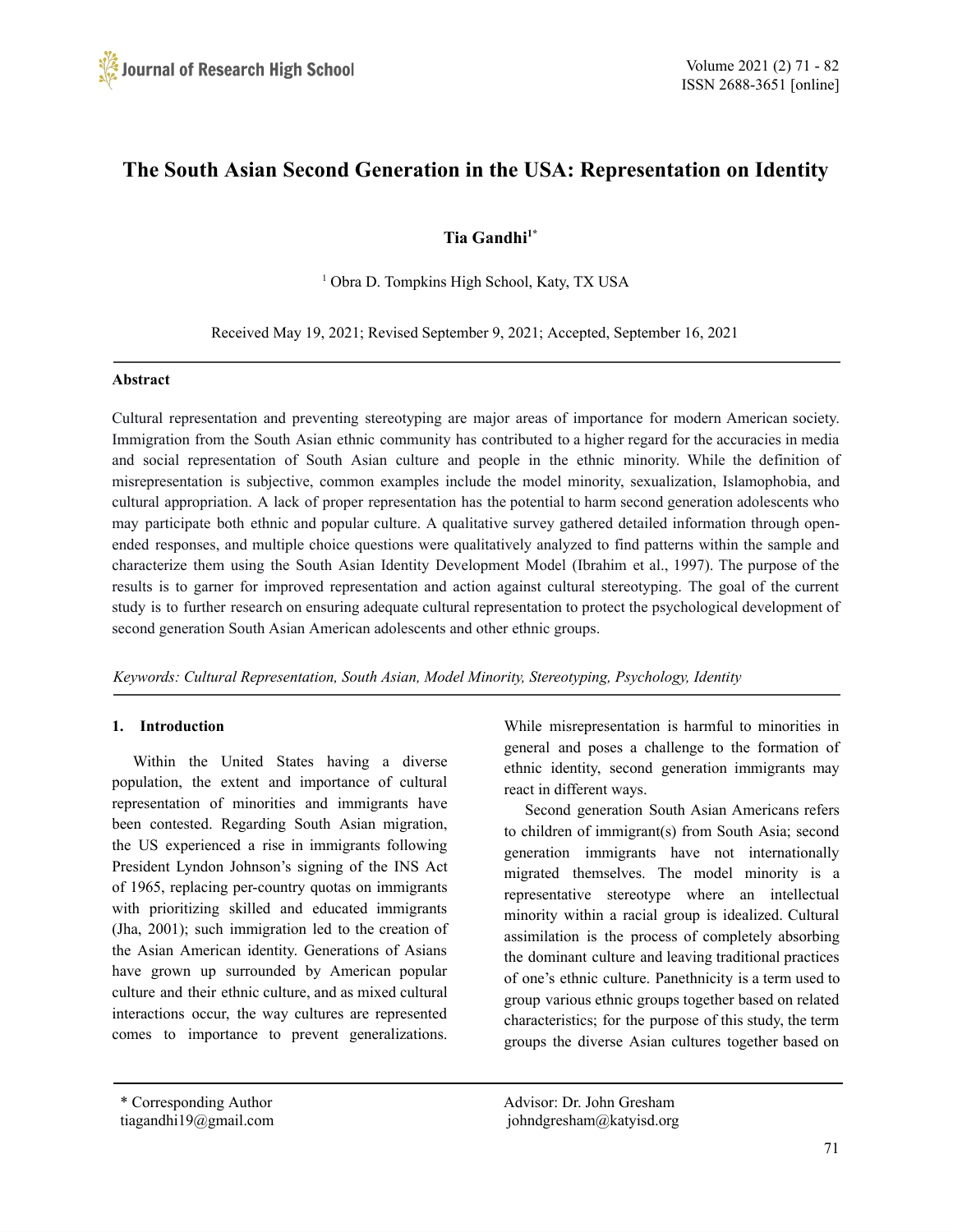# **The South Asian Second Generation in the USA: Representation on Identity**

# **Tia Gandhi 1\***

<sup>1</sup> Obra D. Tompkins High School, Katy, TX USA

Received May 19, 2021; Revised September 9, 2021; Accepted, September 16, 2021

#### **Abstract**

Cultural representation and preventing stereotyping are major areas of importance for modern American society. Immigration from the South Asian ethnic community has contributed to a higher regard for the accuracies in media and social representation of South Asian culture and people in the ethnic minority. While the definition of misrepresentation is subjective, common examples include the model minority, sexualization, Islamophobia, and cultural appropriation. A lack of proper representation has the potential to harm second generation adolescents who may participate both ethnic and popular culture. A qualitative survey gathered detailed information through openended responses, and multiple choice questions were qualitatively analyzed to find patterns within the sample and characterize them using the South Asian Identity Development Model (Ibrahim et al., 1997). The purpose of the results is to garner for improved representation and action against cultural stereotyping. The goal of the current study is to further research on ensuring adequate cultural representation to protect the psychological development of second generation South Asian American adolescents and other ethnic groups.

*Keywords: Cultural Representation, South Asian, Model Minority, Stereotyping, Psychology, Identity*

# **1. Introduction**

Within the United States having a diverse population, the extent and importance of cultural representation of minorities and immigrants have been contested. Regarding South Asian migration, the US experienced a rise in immigrants following President Lyndon Johnson's signing of the INS Act of 1965, replacing per-country quotas on immigrants with prioritizing skilled and educated immigrants (Jha, 2001); such immigration led to the creation of the Asian American identity. Generations of Asians have grown up surrounded by American popular culture and their ethnic culture, and as mixed cultural interactions occur, the way cultures are represented comes to importance to prevent generalizations.

While misrepresentation is harmful to minorities in general and poses a challenge to the formation of ethnic identity, second generation immigrants may react in different ways.

Second generation South Asian Americans refers to children of immigrant(s) from South Asia; second generation immigrants have not internationally migrated themselves. The model minority is a representative stereotype where an intellectual minority within a racial group is idealized. Cultural assimilation is the process of completely absorbing the dominant culture and leaving traditional practices of one's ethnic culture. Panethnicity is a term used to group various ethnic groups together based on related characteristics; for the purpose of this study, the term groups the diverse Asian cultures together based on

\* Corresponding Author Advisor: Dr. John Gresham tiagandhi19@gmail.com johndgresham@katyisd.org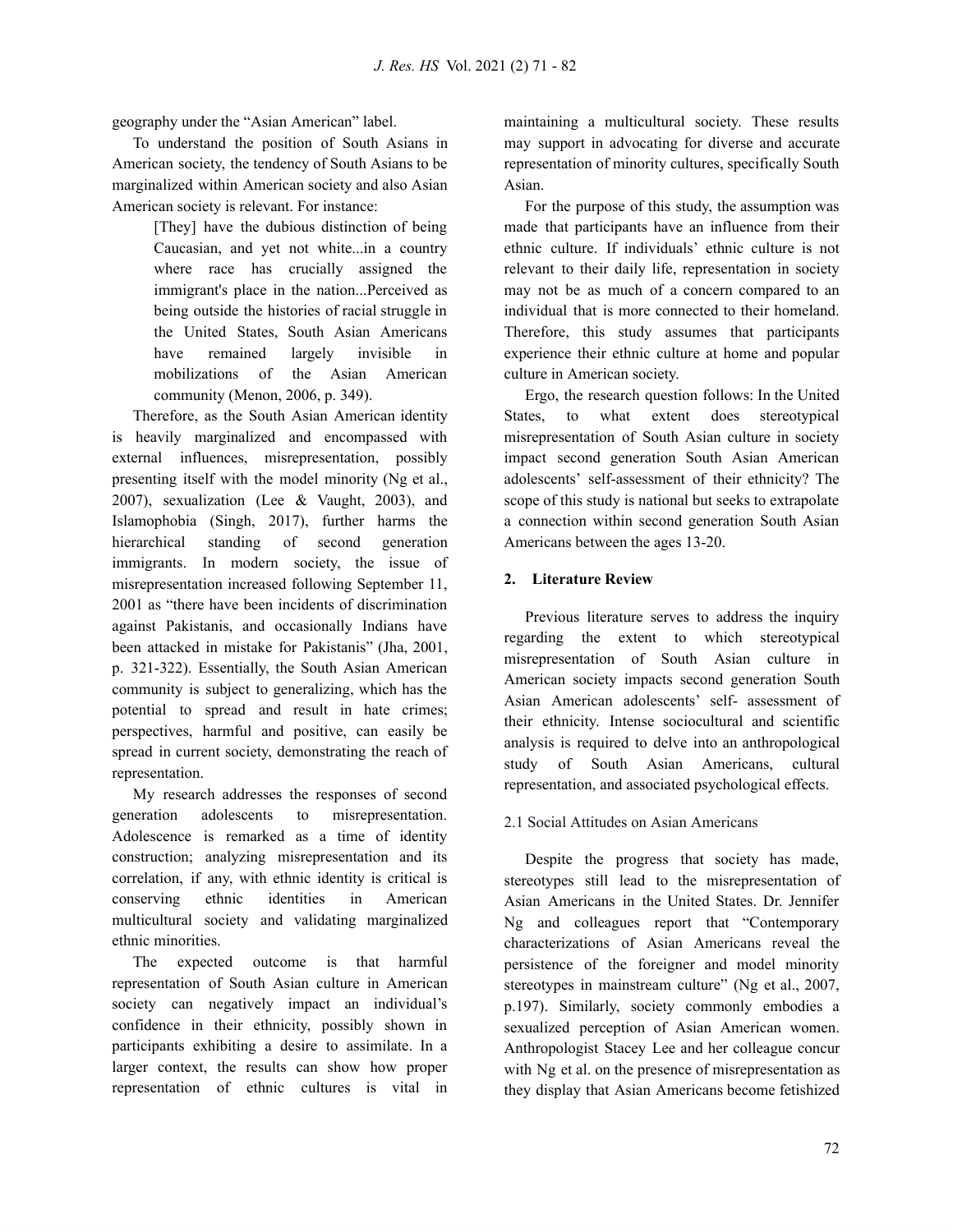geography under the "Asian American" label.

To understand the position of South Asians in American society, the tendency of South Asians to be marginalized within American society and also Asian American society is relevant. For instance:

> [They] have the dubious distinction of being Caucasian, and yet not white...in a country where race has crucially assigned the immigrant's place in the nation...Perceived as being outside the histories of racial struggle in the United States, South Asian Americans have remained largely invisible in mobilizations of the Asian American community (Menon, 2006, p. 349).

Therefore, as the South Asian American identity is heavily marginalized and encompassed with external influences, misrepresentation, possibly presenting itself with the model minority (Ng et al., 2007), sexualization (Lee & Vaught, 2003), and Islamophobia (Singh, 2017), further harms the hierarchical standing of second generation immigrants. In modern society, the issue of misrepresentation increased following September 11, 2001 as "there have been incidents of discrimination against Pakistanis, and occasionally Indians have been attacked in mistake for Pakistanis" (Jha, 2001, p. 321-322). Essentially, the South Asian American community is subject to generalizing, which has the potential to spread and result in hate crimes; perspectives, harmful and positive, can easily be spread in current society, demonstrating the reach of representation.

My research addresses the responses of second generation adolescents to misrepresentation. Adolescence is remarked as a time of identity construction; analyzing misrepresentation and its correlation, if any, with ethnic identity is critical is conserving ethnic identities in American multicultural society and validating marginalized ethnic minorities.

The expected outcome is that harmful representation of South Asian culture in American society can negatively impact an individual's confidence in their ethnicity, possibly shown in participants exhibiting a desire to assimilate. In a larger context, the results can show how proper representation of ethnic cultures is vital in maintaining a multicultural society. These results may support in advocating for diverse and accurate representation of minority cultures, specifically South Asian.

For the purpose of this study, the assumption was made that participants have an influence from their ethnic culture. If individuals' ethnic culture is not relevant to their daily life, representation in society may not be as much of a concern compared to an individual that is more connected to their homeland. Therefore, this study assumes that participants experience their ethnic culture at home and popular culture in American society.

Ergo, the research question follows: In the United States, to what extent does stereotypical misrepresentation of South Asian culture in society impact second generation South Asian American adolescents' self-assessment of their ethnicity? The scope of this study is national but seeks to extrapolate a connection within second generation South Asian Americans between the ages 13-20.

# **2. Literature Review**

Previous literature serves to address the inquiry regarding the extent to which stereotypical misrepresentation of South Asian culture in American society impacts second generation South Asian American adolescents' self- assessment of their ethnicity. Intense sociocultural and scientific analysis is required to delve into an anthropological study of South Asian Americans, cultural representation, and associated psychological effects.

# 2.1 Social Attitudes on Asian Americans

Despite the progress that society has made, stereotypes still lead to the misrepresentation of Asian Americans in the United States. Dr. Jennifer Ng and colleagues report that "Contemporary characterizations of Asian Americans reveal the persistence of the foreigner and model minority stereotypes in mainstream culture" (Ng et al., 2007, p.197). Similarly, society commonly embodies a sexualized perception of Asian American women. Anthropologist Stacey Lee and her colleague concur with Ng et al. on the presence of misrepresentation as they display that Asian Americans become fetishized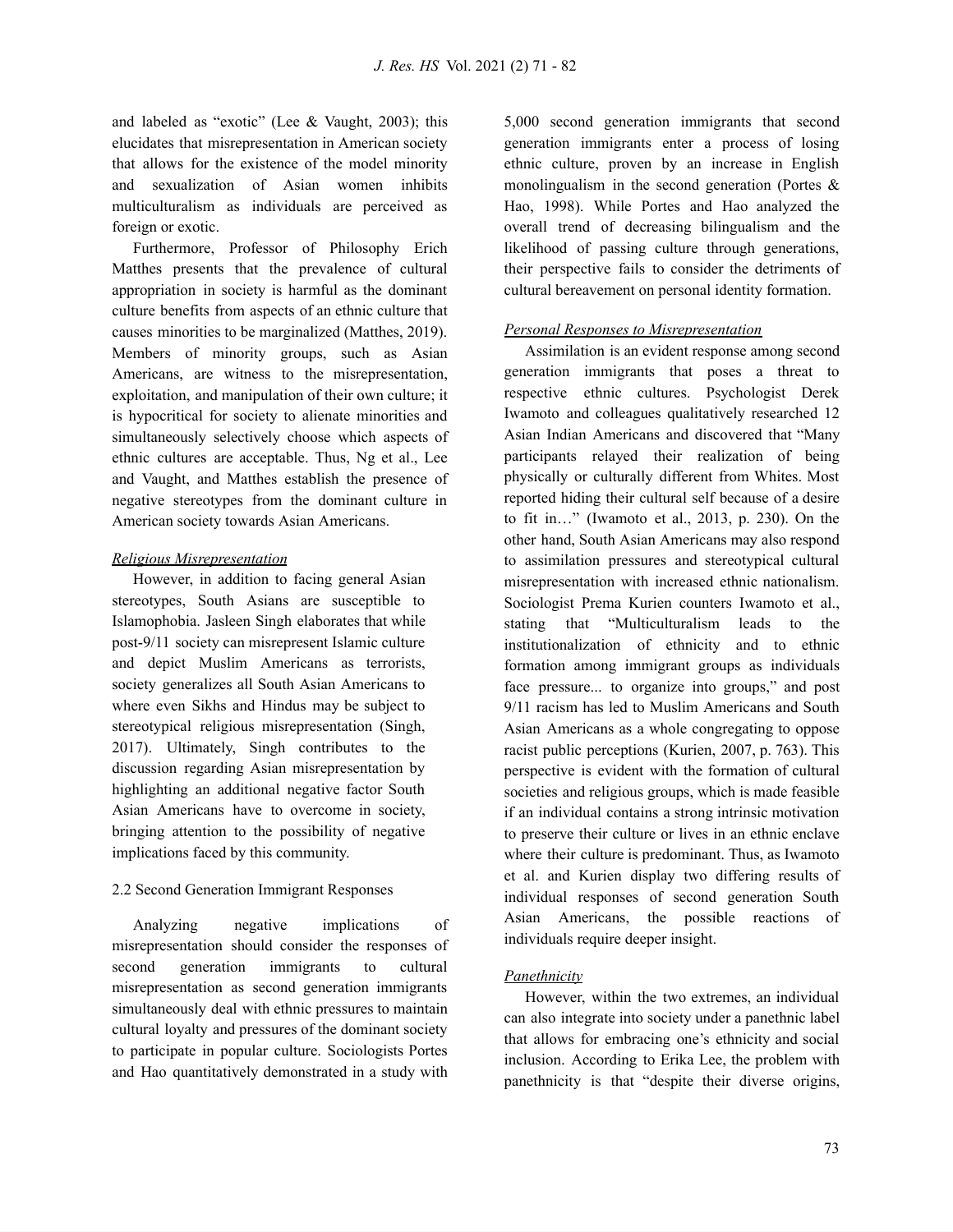and labeled as "exotic" (Lee  $&$  Vaught, 2003); this elucidates that misrepresentation in American society that allows for the existence of the model minority and sexualization of Asian women inhibits multiculturalism as individuals are perceived as foreign or exotic.

Furthermore, Professor of Philosophy Erich Matthes presents that the prevalence of cultural appropriation in society is harmful as the dominant culture benefits from aspects of an ethnic culture that causes minorities to be marginalized (Matthes, 2019). Members of minority groups, such as Asian Americans, are witness to the misrepresentation, exploitation, and manipulation of their own culture; it is hypocritical for society to alienate minorities and simultaneously selectively choose which aspects of ethnic cultures are acceptable. Thus, Ng et al., Lee and Vaught, and Matthes establish the presence of negative stereotypes from the dominant culture in American society towards Asian Americans.

#### *Religious Misrepresentation*

However, in addition to facing general Asian stereotypes, South Asians are susceptible to Islamophobia. Jasleen Singh elaborates that while post-9/11 society can misrepresent Islamic culture and depict Muslim Americans as terrorists, society generalizes all South Asian Americans to where even Sikhs and Hindus may be subject to stereotypical religious misrepresentation (Singh, 2017). Ultimately, Singh contributes to the discussion regarding Asian misrepresentation by highlighting an additional negative factor South Asian Americans have to overcome in society, bringing attention to the possibility of negative implications faced by this community.

# 2.2 Second Generation Immigrant Responses

Analyzing negative implications of misrepresentation should consider the responses of second generation immigrants to cultural misrepresentation as second generation immigrants simultaneously deal with ethnic pressures to maintain cultural loyalty and pressures of the dominant society to participate in popular culture. Sociologists Portes and Hao quantitatively demonstrated in a study with 5,000 second generation immigrants that second generation immigrants enter a process of losing ethnic culture, proven by an increase in English monolingualism in the second generation (Portes & Hao, 1998). While Portes and Hao analyzed the overall trend of decreasing bilingualism and the likelihood of passing culture through generations, their perspective fails to consider the detriments of cultural bereavement on personal identity formation.

# *Personal Responses to Misrepresentation*

Assimilation is an evident response among second generation immigrants that poses a threat to respective ethnic cultures. Psychologist Derek Iwamoto and colleagues qualitatively researched 12 Asian Indian Americans and discovered that "Many participants relayed their realization of being physically or culturally different from Whites. Most reported hiding their cultural self because of a desire to fit in…" (Iwamoto et al., 2013, p. 230). On the other hand, South Asian Americans may also respond to assimilation pressures and stereotypical cultural misrepresentation with increased ethnic nationalism. Sociologist Prema Kurien counters Iwamoto et al., stating that "Multiculturalism leads to the institutionalization of ethnicity and to ethnic formation among immigrant groups as individuals face pressure... to organize into groups," and post 9/11 racism has led to Muslim Americans and South Asian Americans as a whole congregating to oppose racist public perceptions (Kurien, 2007, p. 763). This perspective is evident with the formation of cultural societies and religious groups, which is made feasible if an individual contains a strong intrinsic motivation to preserve their culture or lives in an ethnic enclave where their culture is predominant. Thus, as Iwamoto et al. and Kurien display two differing results of individual responses of second generation South Asian Americans, the possible reactions of individuals require deeper insight.

# *Panethnicity*

However, within the two extremes, an individual can also integrate into society under a panethnic label that allows for embracing one's ethnicity and social inclusion. According to Erika Lee, the problem with panethnicity is that "despite their diverse origins,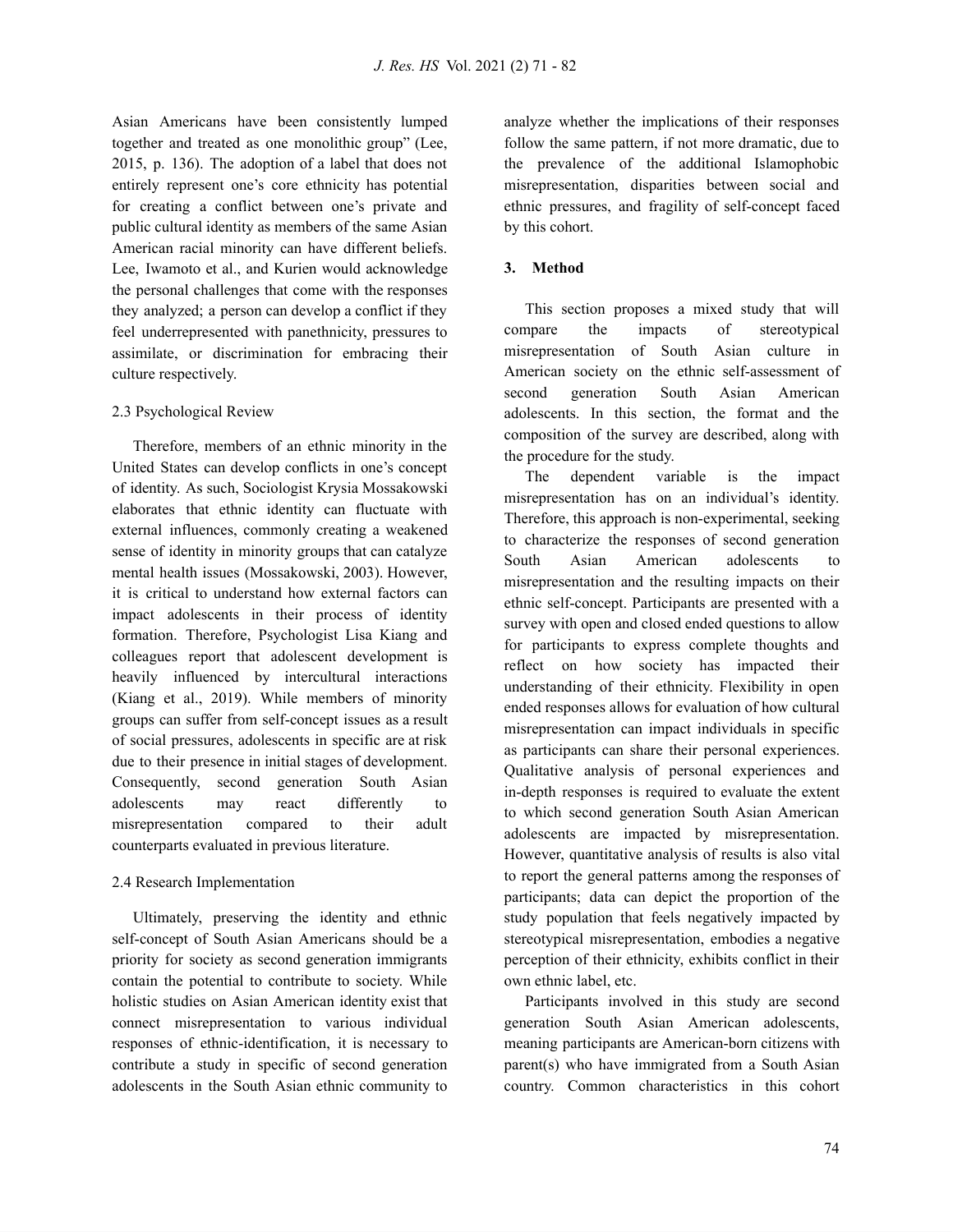Asian Americans have been consistently lumped together and treated as one monolithic group" (Lee, 2015, p. 136). The adoption of a label that does not entirely represent one's core ethnicity has potential for creating a conflict between one's private and public cultural identity as members of the same Asian American racial minority can have different beliefs. Lee, Iwamoto et al., and Kurien would acknowledge the personal challenges that come with the responses they analyzed; a person can develop a conflict if they feel underrepresented with panethnicity, pressures to assimilate, or discrimination for embracing their culture respectively.

#### 2.3 Psychological Review

Therefore, members of an ethnic minority in the United States can develop conflicts in one's concept of identity. As such, Sociologist Krysia Mossakowski elaborates that ethnic identity can fluctuate with external influences, commonly creating a weakened sense of identity in minority groups that can catalyze mental health issues (Mossakowski, 2003). However, it is critical to understand how external factors can impact adolescents in their process of identity formation. Therefore, Psychologist Lisa Kiang and colleagues report that adolescent development is heavily influenced by intercultural interactions (Kiang et al., 2019). While members of minority groups can suffer from self-concept issues as a result of social pressures, adolescents in specific are at risk due to their presence in initial stages of development. Consequently, second generation South Asian adolescents may react differently to misrepresentation compared to their adult counterparts evaluated in previous literature.

#### 2.4 Research Implementation

Ultimately, preserving the identity and ethnic self-concept of South Asian Americans should be a priority for society as second generation immigrants contain the potential to contribute to society. While holistic studies on Asian American identity exist that connect misrepresentation to various individual responses of ethnic-identification, it is necessary to contribute a study in specific of second generation adolescents in the South Asian ethnic community to

analyze whether the implications of their responses follow the same pattern, if not more dramatic, due to the prevalence of the additional Islamophobic misrepresentation, disparities between social and ethnic pressures, and fragility of self-concept faced by this cohort.

#### **3. Method**

This section proposes a mixed study that will compare the impacts of stereotypical misrepresentation of South Asian culture in American society on the ethnic self-assessment of second generation South Asian American adolescents. In this section, the format and the composition of the survey are described, along with the procedure for the study.

The dependent variable is the impact misrepresentation has on an individual's identity. Therefore, this approach is non-experimental, seeking to characterize the responses of second generation South Asian American adolescents to misrepresentation and the resulting impacts on their ethnic self-concept. Participants are presented with a survey with open and closed ended questions to allow for participants to express complete thoughts and reflect on how society has impacted their understanding of their ethnicity. Flexibility in open ended responses allows for evaluation of how cultural misrepresentation can impact individuals in specific as participants can share their personal experiences. Qualitative analysis of personal experiences and in-depth responses is required to evaluate the extent to which second generation South Asian American adolescents are impacted by misrepresentation. However, quantitative analysis of results is also vital to report the general patterns among the responses of participants; data can depict the proportion of the study population that feels negatively impacted by stereotypical misrepresentation, embodies a negative perception of their ethnicity, exhibits conflict in their own ethnic label, etc.

Participants involved in this study are second generation South Asian American adolescents, meaning participants are American-born citizens with parent(s) who have immigrated from a South Asian country. Common characteristics in this cohort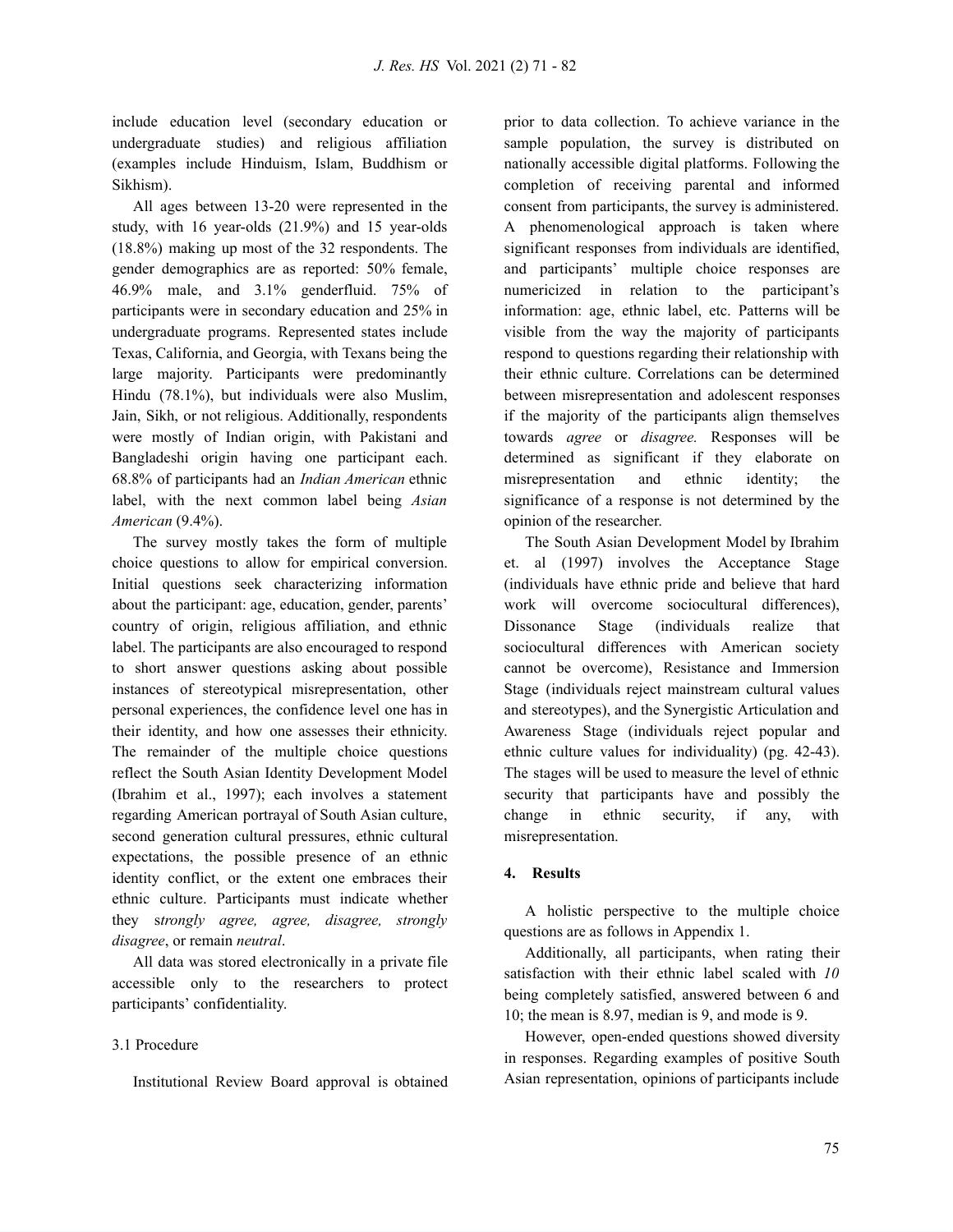include education level (secondary education or undergraduate studies) and religious affiliation (examples include Hinduism, Islam, Buddhism or Sikhism).

All ages between 13-20 were represented in the study, with 16 year-olds (21.9%) and 15 year-olds (18.8%) making up most of the 32 respondents. The gender demographics are as reported: 50% female, 46.9% male, and 3.1% genderfluid. 75% of participants were in secondary education and 25% in undergraduate programs. Represented states include Texas, California, and Georgia, with Texans being the large majority. Participants were predominantly Hindu (78.1%), but individuals were also Muslim, Jain, Sikh, or not religious. Additionally, respondents were mostly of Indian origin, with Pakistani and Bangladeshi origin having one participant each. 68.8% of participants had an *Indian American* ethnic label, with the next common label being *Asian American* (9.4%).

The survey mostly takes the form of multiple choice questions to allow for empirical conversion. Initial questions seek characterizing information about the participant: age, education, gender, parents' country of origin, religious affiliation, and ethnic label. The participants are also encouraged to respond to short answer questions asking about possible instances of stereotypical misrepresentation, other personal experiences, the confidence level one has in their identity, and how one assesses their ethnicity. The remainder of the multiple choice questions reflect the South Asian Identity Development Model (Ibrahim et al., 1997); each involves a statement regarding American portrayal of South Asian culture, second generation cultural pressures, ethnic cultural expectations, the possible presence of an ethnic identity conflict, or the extent one embraces their ethnic culture. Participants must indicate whether they s*trongly agree, agree, disagree, strongly disagree*, or remain *neutral*.

All data was stored electronically in a private file accessible only to the researchers to protect participants' confidentiality.

# 3.1 Procedure

Institutional Review Board approval is obtained

prior to data collection. To achieve variance in the sample population, the survey is distributed on nationally accessible digital platforms. Following the completion of receiving parental and informed consent from participants, the survey is administered. A phenomenological approach is taken where significant responses from individuals are identified, and participants' multiple choice responses are numericized in relation to the participant's information: age, ethnic label, etc. Patterns will be visible from the way the majority of participants respond to questions regarding their relationship with their ethnic culture. Correlations can be determined between misrepresentation and adolescent responses if the majority of the participants align themselves towards *agree* or *disagree.* Responses will be determined as significant if they elaborate on misrepresentation and ethnic identity; the significance of a response is not determined by the opinion of the researcher.

The South Asian Development Model by Ibrahim et. al (1997) involves the Acceptance Stage (individuals have ethnic pride and believe that hard work will overcome sociocultural differences), Dissonance Stage (individuals realize that sociocultural differences with American society cannot be overcome), Resistance and Immersion Stage (individuals reject mainstream cultural values and stereotypes), and the Synergistic Articulation and Awareness Stage (individuals reject popular and ethnic culture values for individuality) (pg. 42-43). The stages will be used to measure the level of ethnic security that participants have and possibly the change in ethnic security, if any, with misrepresentation.

# **4. Results**

A holistic perspective to the multiple choice questions are as follows in Appendix 1.

Additionally, all participants, when rating their satisfaction with their ethnic label scaled with *10* being completely satisfied, answered between 6 and 10; the mean is 8.97, median is 9, and mode is 9.

However, open-ended questions showed diversity in responses. Regarding examples of positive South Asian representation, opinions of participants include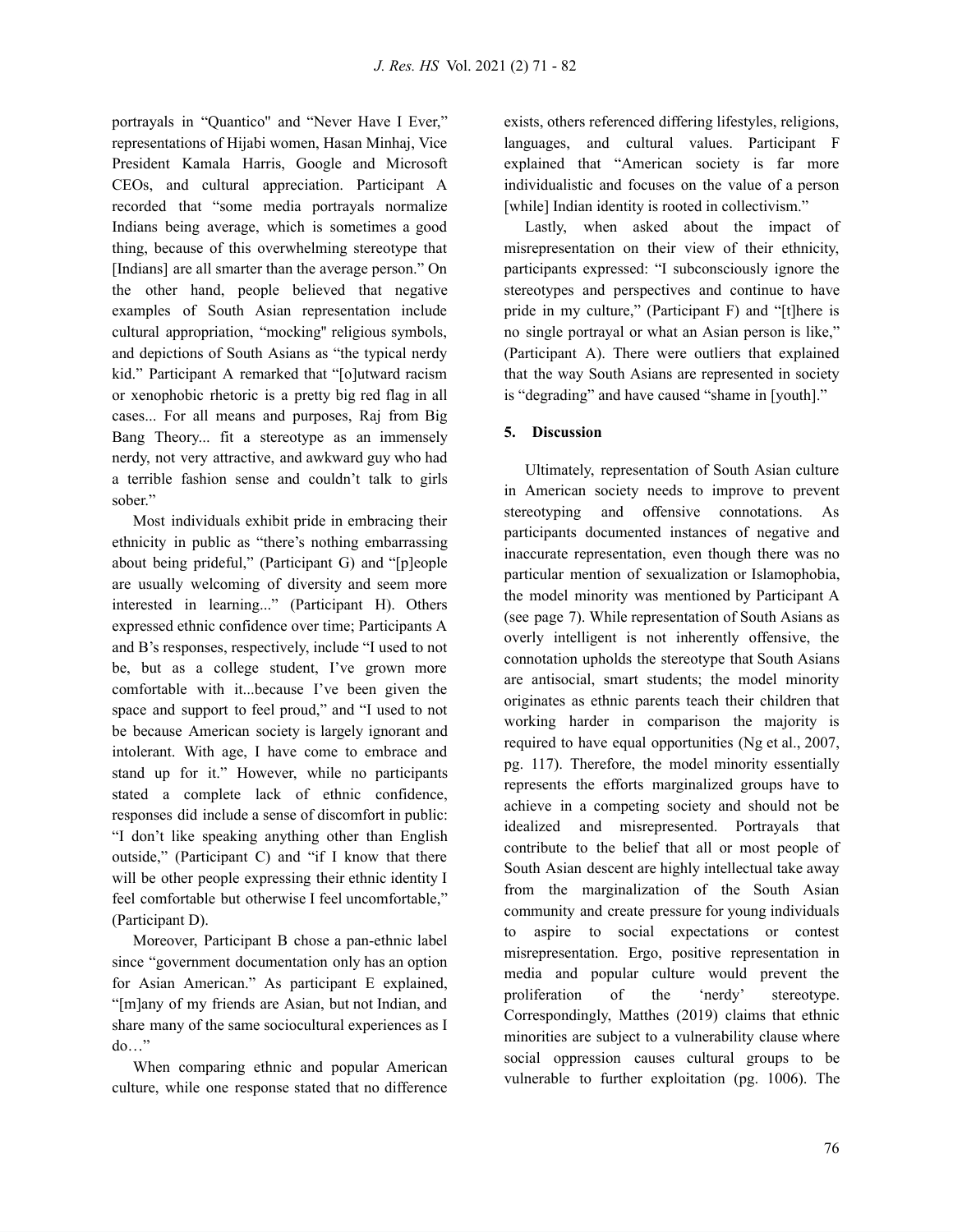portrayals in "Quantico'' and "Never Have I Ever," representations of Hijabi women, Hasan Minhaj, Vice President Kamala Harris, Google and Microsoft CEOs, and cultural appreciation. Participant A recorded that "some media portrayals normalize Indians being average, which is sometimes a good thing, because of this overwhelming stereotype that [Indians] are all smarter than the average person." On the other hand, people believed that negative examples of South Asian representation include cultural appropriation, "mocking'' religious symbols, and depictions of South Asians as "the typical nerdy kid." Participant A remarked that "[o]utward racism or xenophobic rhetoric is a pretty big red flag in all cases... For all means and purposes, Raj from Big Bang Theory... fit a stereotype as an immensely nerdy, not very attractive, and awkward guy who had a terrible fashion sense and couldn't talk to girls sober."

Most individuals exhibit pride in embracing their ethnicity in public as "there's nothing embarrassing about being prideful," (Participant G) and "[p]eople are usually welcoming of diversity and seem more interested in learning..." (Participant H). Others expressed ethnic confidence over time; Participants A and B's responses, respectively, include "I used to not be, but as a college student, I've grown more comfortable with it...because I've been given the space and support to feel proud," and "I used to not be because American society is largely ignorant and intolerant. With age, I have come to embrace and stand up for it." However, while no participants stated a complete lack of ethnic confidence, responses did include a sense of discomfort in public: "I don't like speaking anything other than English outside," (Participant C) and "if I know that there will be other people expressing their ethnic identity I feel comfortable but otherwise I feel uncomfortable," (Participant D).

Moreover, Participant B chose a pan-ethnic label since "government documentation only has an option for Asian American." As participant E explained, "[m]any of my friends are Asian, but not Indian, and share many of the same sociocultural experiences as I do…"

When comparing ethnic and popular American culture, while one response stated that no difference

exists, others referenced differing lifestyles, religions, languages, and cultural values. Participant F explained that "American society is far more individualistic and focuses on the value of a person [while] Indian identity is rooted in collectivism."

Lastly, when asked about the impact of misrepresentation on their view of their ethnicity, participants expressed: "I subconsciously ignore the stereotypes and perspectives and continue to have pride in my culture," (Participant F) and "[t]here is no single portrayal or what an Asian person is like," (Participant A). There were outliers that explained that the way South Asians are represented in society is "degrading" and have caused "shame in [youth]."

# **5. Discussion**

Ultimately, representation of South Asian culture in American society needs to improve to prevent stereotyping and offensive connotations. As participants documented instances of negative and inaccurate representation, even though there was no particular mention of sexualization or Islamophobia, the model minority was mentioned by Participant A (see page 7). While representation of South Asians as overly intelligent is not inherently offensive, the connotation upholds the stereotype that South Asians are antisocial, smart students; the model minority originates as ethnic parents teach their children that working harder in comparison the majority is required to have equal opportunities (Ng et al., 2007, pg. 117). Therefore, the model minority essentially represents the efforts marginalized groups have to achieve in a competing society and should not be idealized and misrepresented. Portrayals that contribute to the belief that all or most people of South Asian descent are highly intellectual take away from the marginalization of the South Asian community and create pressure for young individuals to aspire to social expectations or contest misrepresentation. Ergo, positive representation in media and popular culture would prevent the proliferation of the 'nerdy' stereotype. Correspondingly, Matthes (2019) claims that ethnic minorities are subject to a vulnerability clause where social oppression causes cultural groups to be vulnerable to further exploitation (pg. 1006). The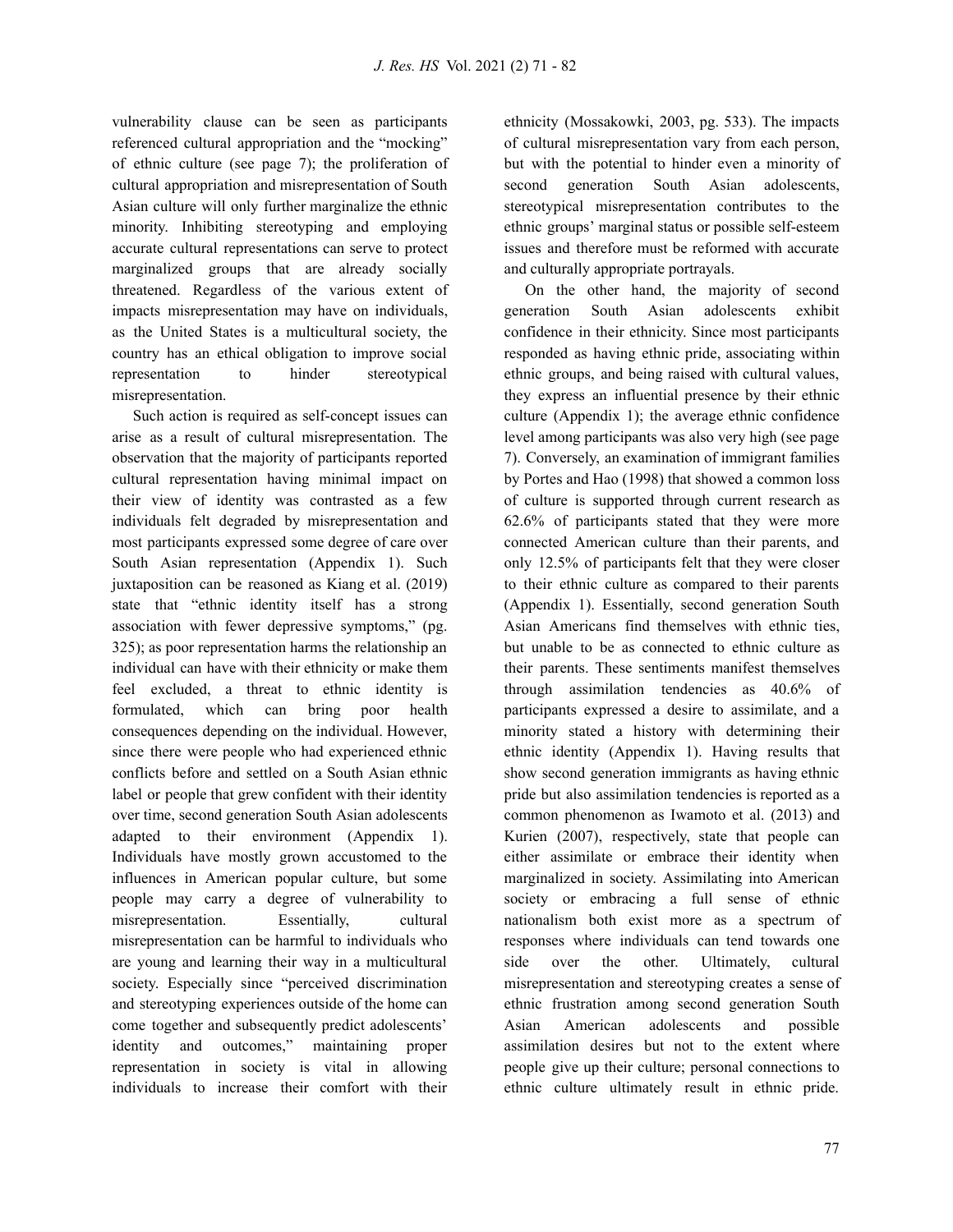vulnerability clause can be seen as participants referenced cultural appropriation and the "mocking" of ethnic culture (see page 7); the proliferation of cultural appropriation and misrepresentation of South Asian culture will only further marginalize the ethnic minority. Inhibiting stereotyping and employing accurate cultural representations can serve to protect marginalized groups that are already socially threatened. Regardless of the various extent of impacts misrepresentation may have on individuals, as the United States is a multicultural society, the country has an ethical obligation to improve social representation to hinder stereotypical misrepresentation.

Such action is required as self-concept issues can arise as a result of cultural misrepresentation. The observation that the majority of participants reported cultural representation having minimal impact on their view of identity was contrasted as a few individuals felt degraded by misrepresentation and most participants expressed some degree of care over South Asian representation (Appendix 1). Such juxtaposition can be reasoned as Kiang et al. (2019) state that "ethnic identity itself has a strong association with fewer depressive symptoms," (pg. 325); as poor representation harms the relationship an individual can have with their ethnicity or make them feel excluded, a threat to ethnic identity is formulated, which can bring poor health consequences depending on the individual. However, since there were people who had experienced ethnic conflicts before and settled on a South Asian ethnic label or people that grew confident with their identity over time, second generation South Asian adolescents adapted to their environment (Appendix 1). Individuals have mostly grown accustomed to the influences in American popular culture, but some people may carry a degree of vulnerability to misrepresentation. Essentially, cultural misrepresentation can be harmful to individuals who are young and learning their way in a multicultural society. Especially since "perceived discrimination and stereotyping experiences outside of the home can come together and subsequently predict adolescents' identity and outcomes," maintaining proper representation in society is vital in allowing individuals to increase their comfort with their

ethnicity (Mossakowki, 2003, pg. 533). The impacts of cultural misrepresentation vary from each person, but with the potential to hinder even a minority of second generation South Asian adolescents, stereotypical misrepresentation contributes to the ethnic groups' marginal status or possible self-esteem issues and therefore must be reformed with accurate and culturally appropriate portrayals.

On the other hand, the majority of second generation South Asian adolescents exhibit confidence in their ethnicity. Since most participants responded as having ethnic pride, associating within ethnic groups, and being raised with cultural values, they express an influential presence by their ethnic culture (Appendix 1); the average ethnic confidence level among participants was also very high (see page 7). Conversely, an examination of immigrant families by Portes and Hao (1998) that showed a common loss of culture is supported through current research as 62.6% of participants stated that they were more connected American culture than their parents, and only 12.5% of participants felt that they were closer to their ethnic culture as compared to their parents (Appendix 1). Essentially, second generation South Asian Americans find themselves with ethnic ties, but unable to be as connected to ethnic culture as their parents. These sentiments manifest themselves through assimilation tendencies as 40.6% of participants expressed a desire to assimilate, and a minority stated a history with determining their ethnic identity (Appendix 1). Having results that show second generation immigrants as having ethnic pride but also assimilation tendencies is reported as a common phenomenon as Iwamoto et al. (2013) and Kurien (2007), respectively, state that people can either assimilate or embrace their identity when marginalized in society. Assimilating into American society or embracing a full sense of ethnic nationalism both exist more as a spectrum of responses where individuals can tend towards one side over the other. Ultimately, cultural misrepresentation and stereotyping creates a sense of ethnic frustration among second generation South Asian American adolescents and possible assimilation desires but not to the extent where people give up their culture; personal connections to ethnic culture ultimately result in ethnic pride.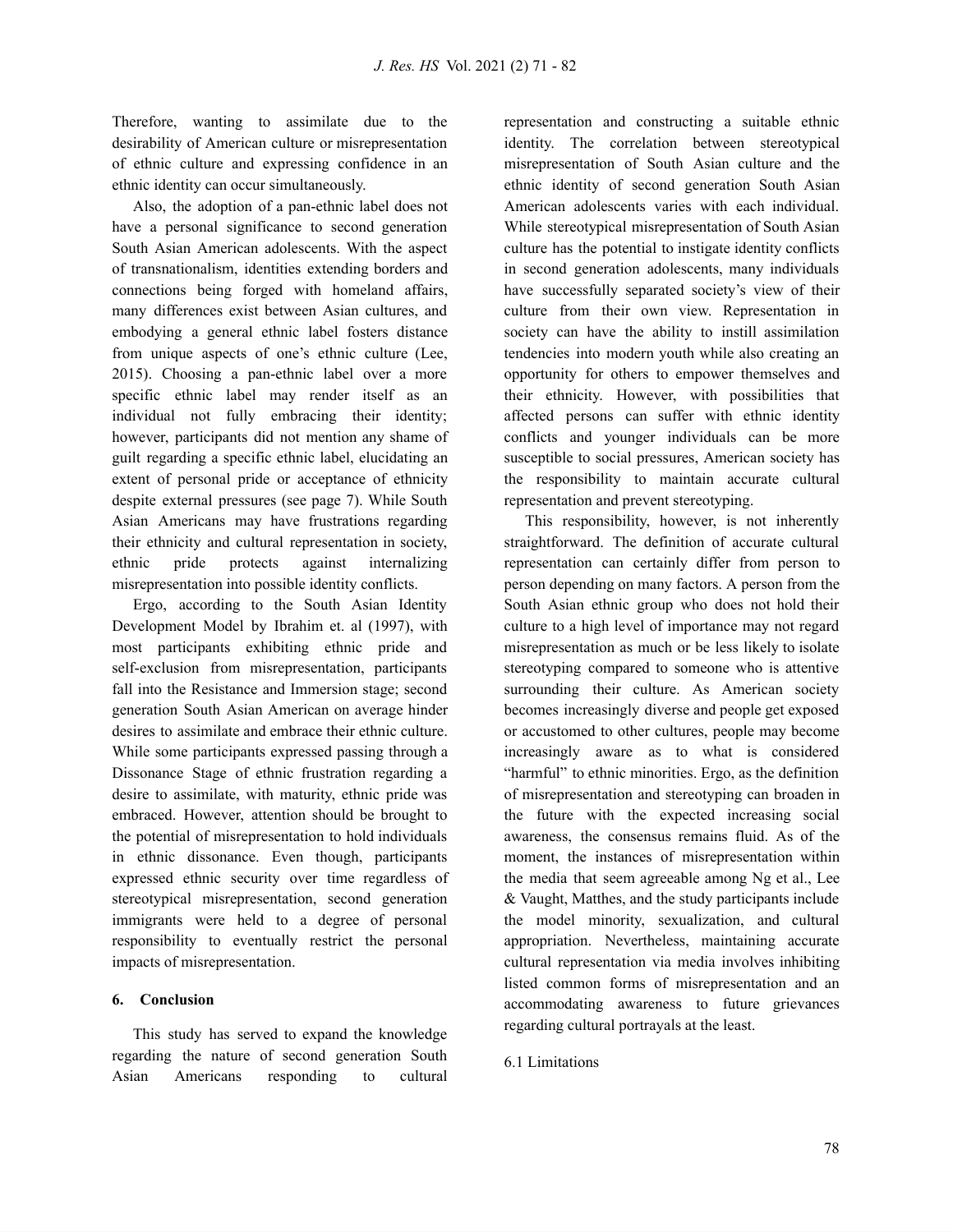Therefore, wanting to assimilate due to the desirability of American culture or misrepresentation of ethnic culture and expressing confidence in an ethnic identity can occur simultaneously.

Also, the adoption of a pan-ethnic label does not have a personal significance to second generation South Asian American adolescents. With the aspect of transnationalism, identities extending borders and connections being forged with homeland affairs, many differences exist between Asian cultures, and embodying a general ethnic label fosters distance from unique aspects of one's ethnic culture (Lee, 2015). Choosing a pan-ethnic label over a more specific ethnic label may render itself as an individual not fully embracing their identity; however, participants did not mention any shame of guilt regarding a specific ethnic label, elucidating an extent of personal pride or acceptance of ethnicity despite external pressures (see page 7). While South Asian Americans may have frustrations regarding their ethnicity and cultural representation in society, ethnic pride protects against internalizing misrepresentation into possible identity conflicts.

Ergo, according to the South Asian Identity Development Model by Ibrahim et. al (1997), with most participants exhibiting ethnic pride and self-exclusion from misrepresentation, participants fall into the Resistance and Immersion stage; second generation South Asian American on average hinder desires to assimilate and embrace their ethnic culture. While some participants expressed passing through a Dissonance Stage of ethnic frustration regarding a desire to assimilate, with maturity, ethnic pride was embraced. However, attention should be brought to the potential of misrepresentation to hold individuals in ethnic dissonance. Even though, participants expressed ethnic security over time regardless of stereotypical misrepresentation, second generation immigrants were held to a degree of personal responsibility to eventually restrict the personal impacts of misrepresentation.

#### **6. Conclusion**

This study has served to expand the knowledge regarding the nature of second generation South Asian Americans responding to cultural representation and constructing a suitable ethnic identity. The correlation between stereotypical misrepresentation of South Asian culture and the ethnic identity of second generation South Asian American adolescents varies with each individual. While stereotypical misrepresentation of South Asian culture has the potential to instigate identity conflicts in second generation adolescents, many individuals have successfully separated society's view of their culture from their own view. Representation in society can have the ability to instill assimilation tendencies into modern youth while also creating an opportunity for others to empower themselves and their ethnicity. However, with possibilities that affected persons can suffer with ethnic identity conflicts and younger individuals can be more susceptible to social pressures, American society has the responsibility to maintain accurate cultural representation and prevent stereotyping.

This responsibility, however, is not inherently straightforward. The definition of accurate cultural representation can certainly differ from person to person depending on many factors. A person from the South Asian ethnic group who does not hold their culture to a high level of importance may not regard misrepresentation as much or be less likely to isolate stereotyping compared to someone who is attentive surrounding their culture. As American society becomes increasingly diverse and people get exposed or accustomed to other cultures, people may become increasingly aware as to what is considered "harmful" to ethnic minorities. Ergo, as the definition of misrepresentation and stereotyping can broaden in the future with the expected increasing social awareness, the consensus remains fluid. As of the moment, the instances of misrepresentation within the media that seem agreeable among Ng et al., Lee & Vaught, Matthes, and the study participants include the model minority, sexualization, and cultural appropriation. Nevertheless, maintaining accurate cultural representation via media involves inhibiting listed common forms of misrepresentation and an accommodating awareness to future grievances regarding cultural portrayals at the least.

#### 6.1 Limitations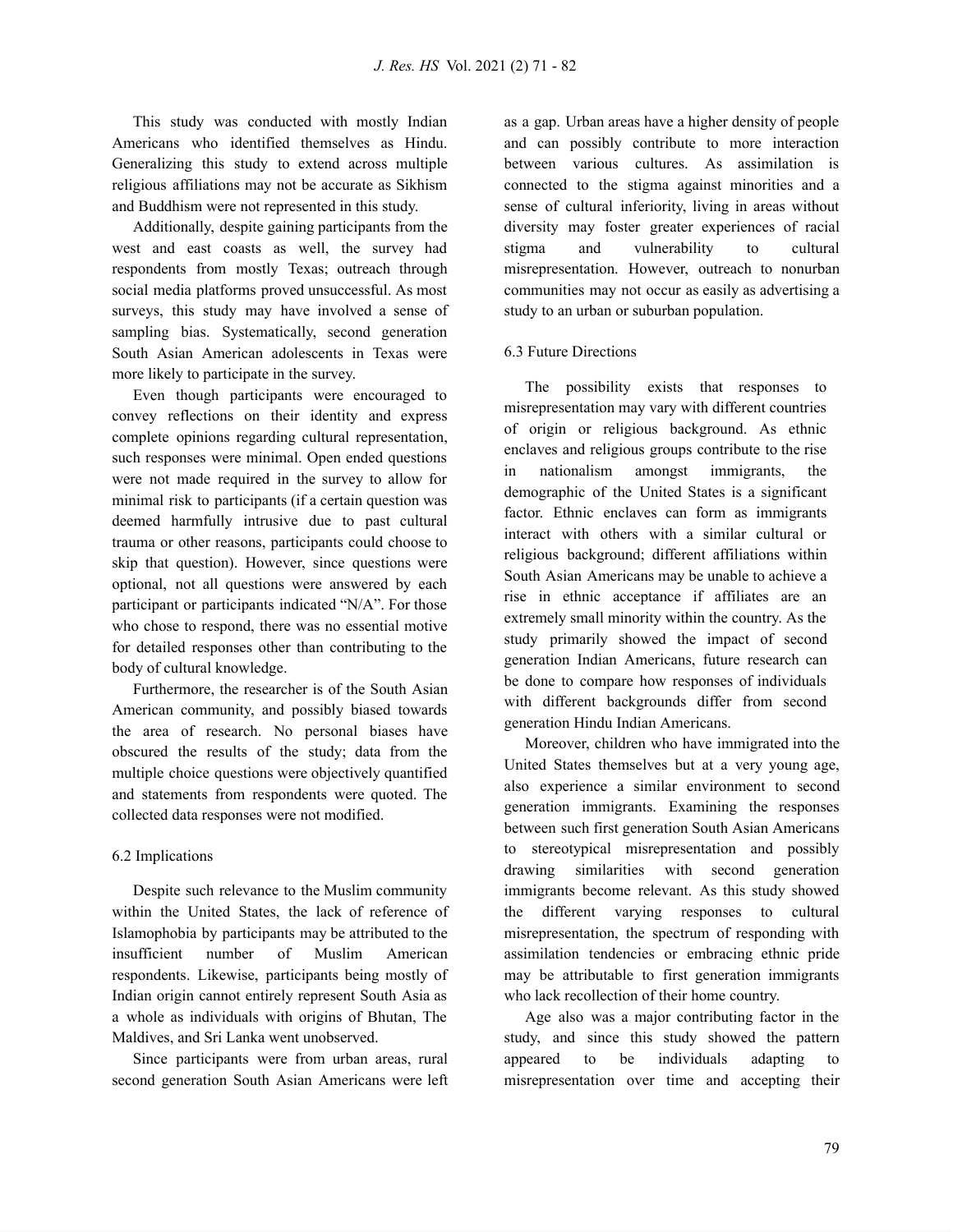This study was conducted with mostly Indian Americans who identified themselves as Hindu. Generalizing this study to extend across multiple religious affiliations may not be accurate as Sikhism and Buddhism were not represented in this study.

Additionally, despite gaining participants from the west and east coasts as well, the survey had respondents from mostly Texas; outreach through social media platforms proved unsuccessful. As most surveys, this study may have involved a sense of sampling bias. Systematically, second generation South Asian American adolescents in Texas were more likely to participate in the survey.

Even though participants were encouraged to convey reflections on their identity and express complete opinions regarding cultural representation, such responses were minimal. Open ended questions were not made required in the survey to allow for minimal risk to participants (if a certain question was deemed harmfully intrusive due to past cultural trauma or other reasons, participants could choose to skip that question). However, since questions were optional, not all questions were answered by each participant or participants indicated "N/A". For those who chose to respond, there was no essential motive for detailed responses other than contributing to the body of cultural knowledge.

Furthermore, the researcher is of the South Asian American community, and possibly biased towards the area of research. No personal biases have obscured the results of the study; data from the multiple choice questions were objectively quantified and statements from respondents were quoted. The collected data responses were not modified.

# 6.2 Implications

Despite such relevance to the Muslim community within the United States, the lack of reference of Islamophobia by participants may be attributed to the insufficient number of Muslim American respondents. Likewise, participants being mostly of Indian origin cannot entirely represent South Asia as a whole as individuals with origins of Bhutan, The Maldives, and Sri Lanka went unobserved.

Since participants were from urban areas, rural second generation South Asian Americans were left as a gap. Urban areas have a higher density of people and can possibly contribute to more interaction between various cultures. As assimilation is connected to the stigma against minorities and a sense of cultural inferiority, living in areas without diversity may foster greater experiences of racial stigma and vulnerability to cultural misrepresentation. However, outreach to nonurban communities may not occur as easily as advertising a study to an urban or suburban population.

# 6.3 Future Directions

The possibility exists that responses to misrepresentation may vary with different countries of origin or religious background. As ethnic enclaves and religious groups contribute to the rise in nationalism amongst immigrants, the demographic of the United States is a significant factor. Ethnic enclaves can form as immigrants interact with others with a similar cultural or religious background; different affiliations within South Asian Americans may be unable to achieve a rise in ethnic acceptance if affiliates are an extremely small minority within the country. As the study primarily showed the impact of second generation Indian Americans, future research can be done to compare how responses of individuals with different backgrounds differ from second generation Hindu Indian Americans.

Moreover, children who have immigrated into the United States themselves but at a very young age, also experience a similar environment to second generation immigrants. Examining the responses between such first generation South Asian Americans to stereotypical misrepresentation and possibly drawing similarities with second generation immigrants become relevant. As this study showed the different varying responses to cultural misrepresentation, the spectrum of responding with assimilation tendencies or embracing ethnic pride may be attributable to first generation immigrants who lack recollection of their home country.

Age also was a major contributing factor in the study, and since this study showed the pattern appeared to be individuals adapting to misrepresentation over time and accepting their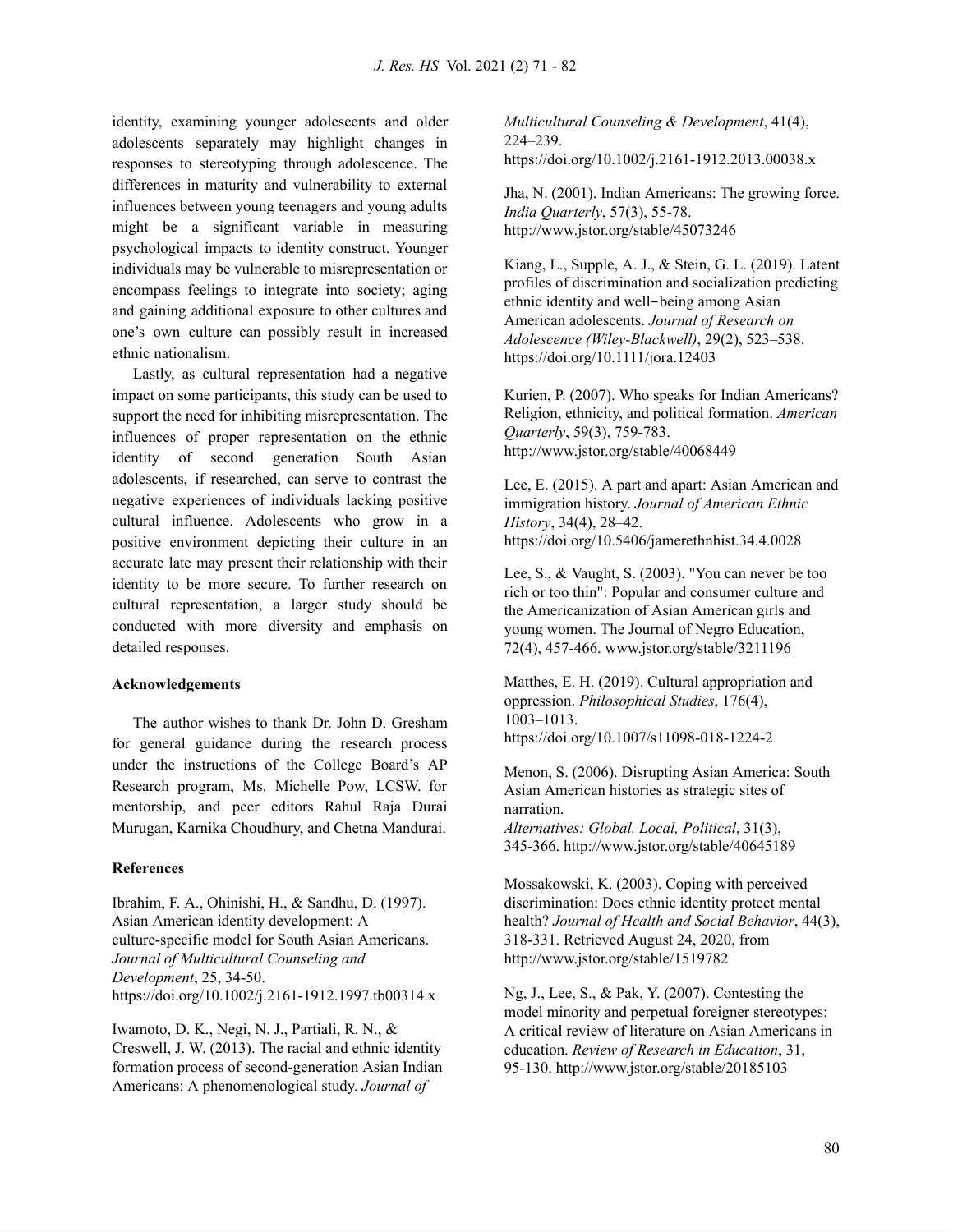identity, examining younger adolescents and older adolescents separately may highlight changes in responses to stereotyping through adolescence. The differences in maturity and vulnerability to external influences between young teenagers and young adults might be a significant variable in measuring psychological impacts to identity construct. Younger individuals may be vulnerable to misrepresentation or encompass feelings to integrate into society; aging and gaining additional exposure to other cultures and one's own culture can possibly result in increased ethnic nationalism.

Lastly, as cultural representation had a negative impact on some participants, this study can be used to support the need for inhibiting misrepresentation. The influences of proper representation on the ethnic identity of second generation South Asian adolescents, if researched, can serve to contrast the negative experiences of individuals lacking positive cultural influence. Adolescents who grow in a positive environment depicting their culture in an accurate late may present their relationship with their identity to be more secure. To further research on cultural representation, a larger study should be conducted with more diversity and emphasis on detailed responses.

#### **Acknowledgements**

The author wishes to thank Dr. John D. Gresham for general guidance during the research process under the instructions of the College Board's AP Research program, Ms. Michelle Pow, LCSW. for mentorship, and peer editors Rahul Raja Durai Murugan, Karnika Choudhury, and Chetna Mandurai.

#### **References**

Ibrahim, F. A., Ohinishi, H., & Sandhu, D. (1997). Asian American identity development: A culture-specific model for South Asian Americans. *Journal of Multicultural Counseling and Development*, 25, 34-50. https://doi.org/10.1002/j.2161-1912.1997.tb00314.x

Iwamoto, D. K., Negi, N. J., Partiali, R. N., & Creswell, J. W. (2013). The racial and ethnic identity formation process of second-generation Asian Indian Americans: A phenomenological study. *Journal of*

*Multicultural Counseling & Development*, 41(4), 224–239. https://doi.org/10.1002/j.2161-1912.2013.00038.x

Jha, N. (2001). Indian Americans: The growing force. *India Quarterly*, 57(3), 55-78. http://www.jstor.org/stable/45073246

Kiang, L., Supple, A. J., & Stein, G. L. (2019). Latent profiles of discrimination and socialization predicting ethnic identity and well-being among Asian American adolescents. *Journal of Research on Adolescence (Wiley-Blackwell)*, 29(2), 523–538. https://doi.org/10.1111/jora.12403

Kurien, P. (2007). Who speaks for Indian Americans? Religion, ethnicity, and political formation. *American Quarterly*, 59(3), 759-783. http://www.jstor.org/stable/40068449

Lee, E. (2015). A part and apart: Asian American and immigration history. *Journal of American Ethnic History*, 34(4), 28–42. https://doi.org/10.5406/jamerethnhist.34.4.0028

Lee, S., & Vaught, S. (2003). "You can never be too rich or too thin": Popular and consumer culture and the Americanization of Asian American girls and young women. The Journal of Negro Education, 72(4), 457-466. www.jstor.org/stable/3211196

Matthes, E. H. (2019). Cultural appropriation and oppression. *Philosophical Studies*, 176(4), 1003–1013. https://doi.org/10.1007/s11098-018-1224-2

Menon, S. (2006). Disrupting Asian America: South Asian American histories as strategic sites of narration.

*Alternatives: Global, Local, Political*, 31(3), 345-366. http://www.jstor.org/stable/40645189

Mossakowski, K. (2003). Coping with perceived discrimination: Does ethnic identity protect mental health? *Journal of Health and Social Behavior*, 44(3), 318-331. Retrieved August 24, 2020, from http://www.jstor.org/stable/1519782

Ng, J., Lee, S., & Pak, Y. (2007). Contesting the model minority and perpetual foreigner stereotypes: A critical review of literature on Asian Americans in education. *Review of Research in Education*, 31, 95-130. http://www.jstor.org/stable/20185103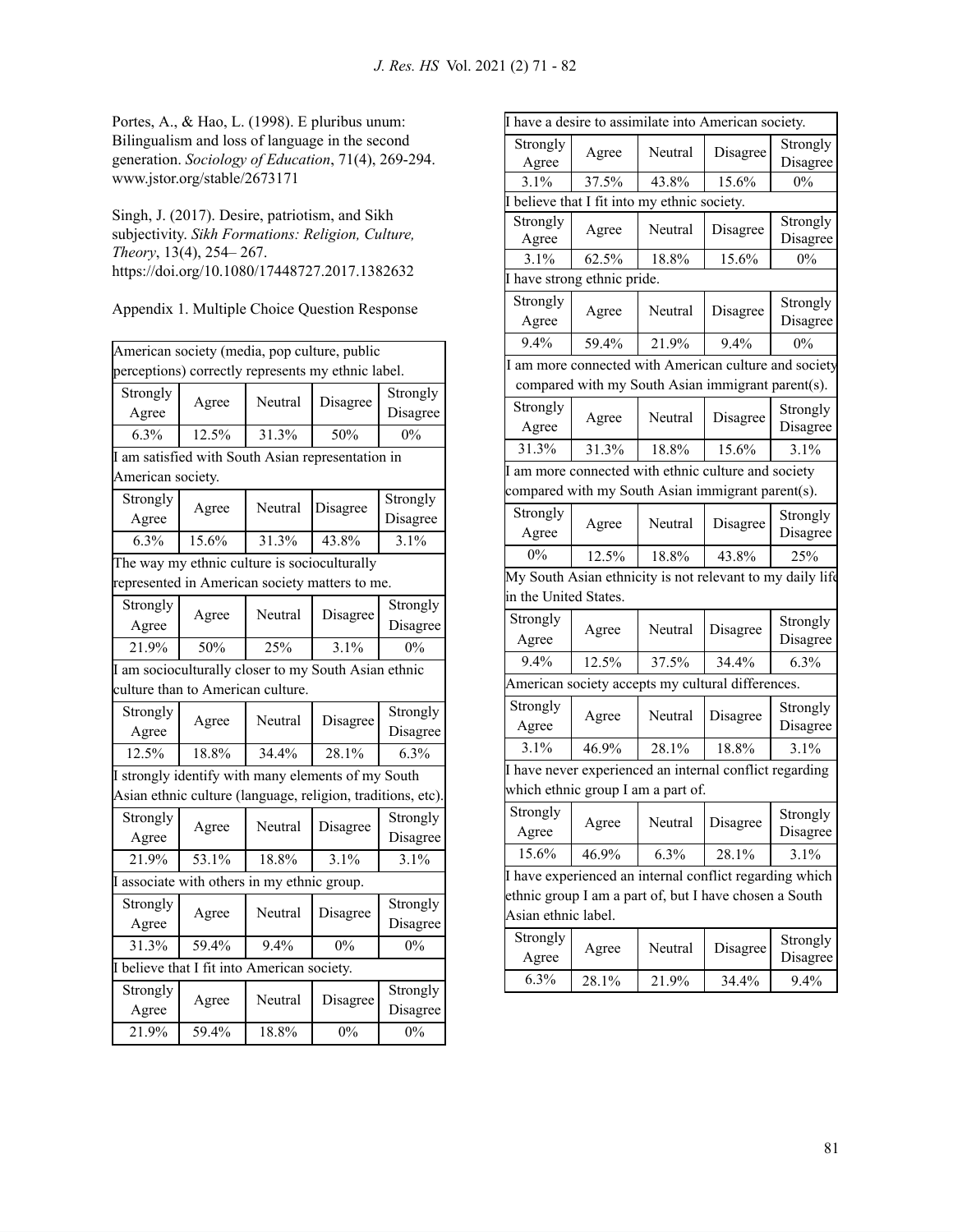Portes, A., & Hao, L. (1998). E pluribus unum: Bilingualism and loss of language in the second generation. *Sociology of Education*, 71(4), 269-294. www.jstor.org/stable/2673171

Singh, J. (2017). Desire, patriotism, and Sikh subjectivity. *Sikh Formations: Religion, Culture, Theory*, 13(4), 254– 267. https://doi.org/10.1080/17448727.2017.1382632

| Appendix 1. Multiple Choice Question Response |
|-----------------------------------------------|
|-----------------------------------------------|

|                                             |                                              |         | American society (media, pop culture, public                |          |  |
|---------------------------------------------|----------------------------------------------|---------|-------------------------------------------------------------|----------|--|
|                                             |                                              |         | perceptions) correctly represents my ethnic label.          |          |  |
| Strongly                                    | Agree                                        | Neutral | Disagree                                                    | Strongly |  |
| Agree                                       |                                              |         |                                                             | Disagree |  |
| 6.3%                                        | 12.5%                                        | 31.3%   | 50%                                                         | 0%       |  |
|                                             |                                              |         | I am satisfied with South Asian representation in           |          |  |
| American society.                           |                                              |         |                                                             |          |  |
| Strongly                                    | Agree                                        | Neutral | Disagree                                                    | Strongly |  |
| Agree                                       |                                              |         |                                                             | Disagree |  |
| 6.3%                                        | 15.6%                                        | 31.3%   | 43.8%                                                       | 3.1%     |  |
|                                             | The way my ethnic culture is socioculturally |         |                                                             |          |  |
|                                             |                                              |         | represented in American society matters to me.              |          |  |
| Strongly                                    | Agree                                        | Neutral | Disagree                                                    | Strongly |  |
| Agree                                       |                                              |         |                                                             | Disagree |  |
| 21.9%                                       | 50%                                          | 25%     | 3.1%                                                        | 0%       |  |
|                                             |                                              |         | I am socioculturally closer to my South Asian ethnic        |          |  |
|                                             | culture than to American culture.            |         |                                                             |          |  |
| Strongly                                    | Agree                                        | Neutral | Disagree                                                    | Strongly |  |
| Agree                                       |                                              |         |                                                             | Disagree |  |
| 12.5%                                       | 18.8%                                        | 34.4%   | 28.1%                                                       | 6.3%     |  |
|                                             |                                              |         | I strongly identify with many elements of my South          |          |  |
|                                             |                                              |         | Asian ethnic culture (language, religion, traditions, etc). |          |  |
| Strongly                                    | Agree                                        | Neutral | Disagree                                                    | Strongly |  |
| Agree                                       |                                              |         |                                                             | Disagree |  |
| 21.9%                                       | 53.1%                                        | 18.8%   | 3.1%                                                        | 3.1%     |  |
|                                             | I associate with others in my ethnic group.  |         |                                                             |          |  |
| Strongly                                    |                                              | Neutral | Disagree                                                    | Strongly |  |
| Agree                                       | Agree                                        |         |                                                             | Disagree |  |
| 31.3%                                       | 59.4%                                        | 9.4%    | $0\%$                                                       | $0\%$    |  |
| I believe that I fit into American society. |                                              |         |                                                             |          |  |
| Strongly                                    | Agree                                        | Neutral | Disagree                                                    | Strongly |  |
| Agree                                       |                                              |         |                                                             | Disagree |  |
| 21.9%                                       | 59.4%                                        | 18.8%   | 0%                                                          | 0%       |  |

| I have a desire to assimilate into American society.                                          |       |                                              |                                                       |                      |  |  |  |
|-----------------------------------------------------------------------------------------------|-------|----------------------------------------------|-------------------------------------------------------|----------------------|--|--|--|
| Strongly                                                                                      | Agree | Neutral                                      | Disagree                                              | Strongly             |  |  |  |
| Agree                                                                                         |       |                                              |                                                       | Disagree             |  |  |  |
| 3.1%                                                                                          | 37.5% | 43.8%                                        | 15.6%                                                 | $0\%$                |  |  |  |
|                                                                                               |       | I believe that I fit into my ethnic society. |                                                       |                      |  |  |  |
| Strongly<br>Agree                                                                             | Agree | Neutral                                      | Disagree                                              | Strongly<br>Disagree |  |  |  |
| 3.1%                                                                                          | 62.5% | 18.8%                                        | 15.6%                                                 | $0\%$                |  |  |  |
| I have strong ethnic pride.                                                                   |       |                                              |                                                       |                      |  |  |  |
| Strongly<br>Agree                                                                             | Agree | Neutral                                      | Disagree                                              | Strongly<br>Disagree |  |  |  |
| 9.4%                                                                                          | 59.4% | 21.9%                                        | 9.4%                                                  | $0\%$                |  |  |  |
|                                                                                               |       |                                              | I am more connected with American culture and society |                      |  |  |  |
|                                                                                               |       |                                              | compared with my South Asian immigrant parent(s).     |                      |  |  |  |
| Strongly                                                                                      |       |                                              |                                                       |                      |  |  |  |
| Agree                                                                                         | Agree | Neutral                                      | Disagree                                              | Strongly<br>Disagree |  |  |  |
| 31.3%                                                                                         | 31.3% | 18.8%                                        | 15.6%                                                 | 3.1%                 |  |  |  |
| I am more connected with ethnic culture and society                                           |       |                                              |                                                       |                      |  |  |  |
|                                                                                               |       |                                              | compared with my South Asian immigrant parent(s).     |                      |  |  |  |
| Strongly                                                                                      |       |                                              |                                                       | Strongly             |  |  |  |
| Agree                                                                                         | Agree | Neutral                                      | Disagree                                              | Disagree             |  |  |  |
| 0%                                                                                            | 12.5% | 18.8%                                        | 43.8%                                                 | 25%                  |  |  |  |
| My South Asian ethnicity is not relevant to my daily life                                     |       |                                              |                                                       |                      |  |  |  |
| in the United States.                                                                         |       |                                              |                                                       |                      |  |  |  |
| Strongly                                                                                      | Agree | Neutral                                      | Disagree                                              | Strongly             |  |  |  |
| Agree                                                                                         |       |                                              |                                                       | Disagree             |  |  |  |
| 9.4%                                                                                          | 12.5% | 37.5%                                        | 34.4%                                                 | 6.3%                 |  |  |  |
|                                                                                               |       |                                              | American society accepts my cultural differences.     |                      |  |  |  |
| Strongly<br>Agree                                                                             | Agree | Neutral                                      | Disagree                                              | Strongly<br>Disagree |  |  |  |
| 3.1%                                                                                          | 46.9% | 28.1%                                        | 18.8%                                                 | 3.1%                 |  |  |  |
|                                                                                               |       |                                              |                                                       |                      |  |  |  |
| I have never experienced an internal conflict regarding<br>which ethnic group I am a part of. |       |                                              |                                                       |                      |  |  |  |
|                                                                                               |       |                                              |                                                       |                      |  |  |  |
| Strongly<br>Agree                                                                             | Agree | Neutral                                      | Disagree                                              | Strongly<br>Disagree |  |  |  |
| 15.6%                                                                                         | 46.9% | 6.3%                                         | 28.1%                                                 | 3.1%                 |  |  |  |
| I have experienced an internal conflict regarding which                                       |       |                                              |                                                       |                      |  |  |  |
| ethnic group I am a part of, but I have chosen a South                                        |       |                                              |                                                       |                      |  |  |  |
| Asian ethnic label.                                                                           |       |                                              |                                                       |                      |  |  |  |
| Strongly                                                                                      |       | Neutral                                      | Disagree                                              | Strongly             |  |  |  |
| Agree                                                                                         | Agree |                                              |                                                       | Disagree             |  |  |  |
| 6.3%                                                                                          | 28.1% | 21.9%                                        | 34.4%                                                 | 9.4%                 |  |  |  |